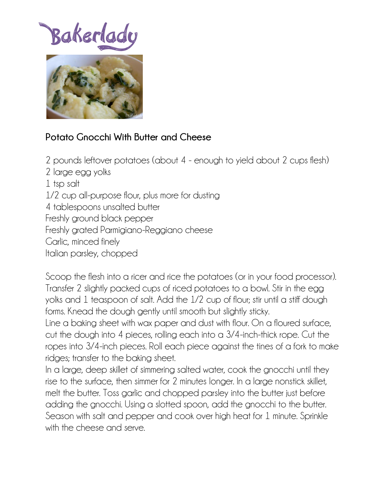## Bakerlac



## **Potato Gnocchi With Butter and Cheese**

2 pounds leftover potatoes (about 4 - enough to yield about 2 cups flesh)

2 large egg yolks

1 tsp salt

1/2 cup all-purpose flour, plus more for dusting

4 tablespoons unsalted butter

Freshly ground black pepper

Freshly grated Parmigiano-Reggiano cheese

Garlic, minced finely

Italian parsley, chopped

Scoop the flesh into a ricer and rice the potatoes (or in your food processor). Transfer 2 slightly packed cups of riced potatoes to a bowl. Stir in the egg yolks and 1 teaspoon of salt. Add the 1/2 cup of flour; stir until a stiff dough forms. Knead the dough gently until smooth but slightly sticky.

Line a baking sheet with wax paper and dust with flour. On a floured surface, cut the dough into 4 pieces, rolling each into a 3/4-inch-thick rope. Cut the ropes into 3/4-inch pieces. Roll each piece against the tines of a fork to make ridges; transfer to the baking sheet.

In a large, deep skillet of simmering salted water, cook the gnocchi until they rise to the surface, then simmer for 2 minutes longer. In a large nonstick skillet, melt the butter. Toss garlic and chopped parsley into the butter just before adding the gnocchi. Using a slotted spoon, add the gnocchi to the butter. Season with salt and pepper and cook over high heat for 1 minute. Sprinkle with the cheese and serve.